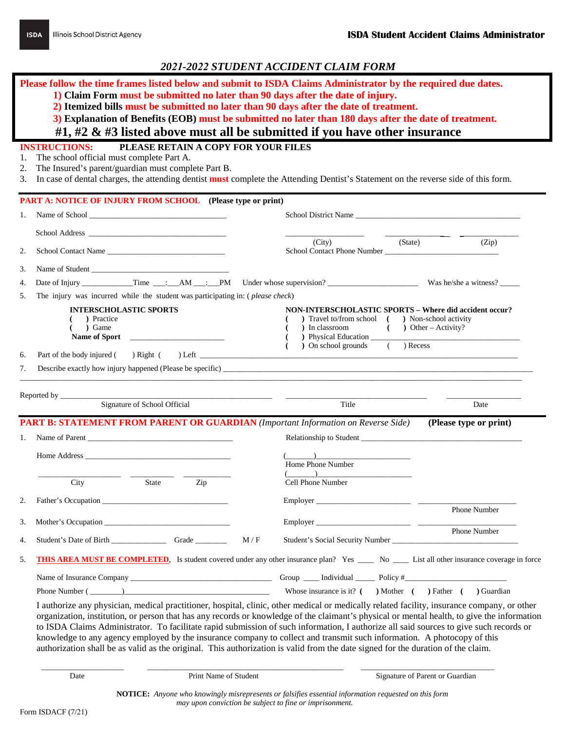**Please follow the time frames listed below and submit to ISDA Claims Administrator by the required due dates.** 

**1) Claim Form must be submitted no later than 90 days after the date of injury.**

**2) Itemized bills must be submitted no later than 90 days after the date of treatment.**

**3) Explanation of Benefits (EOB) must be submitted no later than 180 days after the date of treatment.**

 **#1, #2 & #3 listed above must all be submitted if you have other insurance**

## **INSTRUCTIONS: PLEASE RETAIN A COPY FOR YOUR FILES**

- 1. The school official must complete Part A.
- 2. The Insured's parent/guardian must complete Part B.

3. In case of dental charges, the attending dentist **must** complete the Attending Dentist's Statement on the reverse side of this form.

| 1.                   | <b>PART A: NOTICE OF INJURY FROM SCHOOL</b> (Please type or print)                                                                                                                                                             |                                                                                                                                                                                                                                                                                                                                                                                                                                                                                                                      |                           |
|----------------------|--------------------------------------------------------------------------------------------------------------------------------------------------------------------------------------------------------------------------------|----------------------------------------------------------------------------------------------------------------------------------------------------------------------------------------------------------------------------------------------------------------------------------------------------------------------------------------------------------------------------------------------------------------------------------------------------------------------------------------------------------------------|---------------------------|
|                      | Name of School entertainment of School                                                                                                                                                                                         | School District Name                                                                                                                                                                                                                                                                                                                                                                                                                                                                                                 |                           |
|                      |                                                                                                                                                                                                                                |                                                                                                                                                                                                                                                                                                                                                                                                                                                                                                                      |                           |
| 2.                   | School Contact Name                                                                                                                                                                                                            | (City)<br>(State)<br>School Contact Phone Number                                                                                                                                                                                                                                                                                                                                                                                                                                                                     | (Zip)                     |
| 3.                   | Name of Student                                                                                                                                                                                                                |                                                                                                                                                                                                                                                                                                                                                                                                                                                                                                                      |                           |
| 4.                   |                                                                                                                                                                                                                                |                                                                                                                                                                                                                                                                                                                                                                                                                                                                                                                      |                           |
| 5.                   | The injury was incurred while the student was participating in: ( <i>please check</i> )                                                                                                                                        |                                                                                                                                                                                                                                                                                                                                                                                                                                                                                                                      |                           |
| 6.                   | <b>INTERSCHOLASTIC SPORTS</b><br>) Practice<br>) Game<br>Name of Sport<br>Part of the body injured (<br>$)$ Right (                                                                                                            | <b>NON-INTERSCHOLASTIC SPORTS - Where did accident occur?</b><br>) Travel to/from school ( ) Non-school activity<br>) In classroom<br>) Physical Education<br>$($ $)$ Recess<br>) On school grounds<br>$\begin{minipage}{.4\linewidth} \label{fig:2} \begin{minipage}{.4\linewidth} \hspace*{0.03cm} \textbf{Left}\footnotesize \begin{minipage}{.4\linewidth} \hspace*{0.03cm} \textbf{Left}\footnotesize \begin{minipage}{.4\linewidth} \hspace*{0.03cm} \textbf{Left}\footnotesize \end{minipage} \end{minipage}$ | $($ $)$ Other – Activity? |
| 7.                   | Describe exactly how injury happened (Please be specific)                                                                                                                                                                      |                                                                                                                                                                                                                                                                                                                                                                                                                                                                                                                      |                           |
|                      | <b>PART B: STATEMENT FROM PARENT OR GUARDIAN</b> (Important Information on Reverse Side)<br>Name of Parent                                                                                                                     |                                                                                                                                                                                                                                                                                                                                                                                                                                                                                                                      | (Please type or print)    |
|                      |                                                                                                                                                                                                                                |                                                                                                                                                                                                                                                                                                                                                                                                                                                                                                                      |                           |
| 1.                   | Home Address and the Address and the Address and the Address and the Address and the Address and the Address and the Address and the Address and the Address and the Address and the Address and the Address and the Address a | $\overline{\phantom{a}}$<br>Home Phone Number                                                                                                                                                                                                                                                                                                                                                                                                                                                                        |                           |
|                      | City<br>State<br>Zip                                                                                                                                                                                                           | $\qquad \qquad$ ) $\qquad \qquad$ $\qquad$ $\qquad$ $\qquad$ $\qquad$ $\qquad$ $\qquad$ $\qquad$ $\qquad$ $\qquad$ $\qquad$ $\qquad$ $\qquad$ $\qquad$ $\qquad$ $\qquad$ $\qquad$ $\qquad$ $\qquad$ $\qquad$ $\qquad$ $\qquad$ $\qquad$ $\qquad$ $\qquad$ $\qquad$ $\qquad$ $\qquad$ $\qquad$ $\qquad$ $\qquad$ $\qquad$ $\qquad$ $\qquad$ $\q$<br>Cell Phone Number                                                                                                                                                 |                           |
|                      |                                                                                                                                                                                                                                |                                                                                                                                                                                                                                                                                                                                                                                                                                                                                                                      |                           |
|                      |                                                                                                                                                                                                                                |                                                                                                                                                                                                                                                                                                                                                                                                                                                                                                                      | Phone Number              |
|                      | M/F                                                                                                                                                                                                                            |                                                                                                                                                                                                                                                                                                                                                                                                                                                                                                                      | Phone Number              |
| 2.<br>3.<br>4.<br>5. | <b>THIS AREA MUST BE COMPLETED.</b> Is student covered under any other insurance plan? Yes ____ No ___ List all other insurance coverage in force                                                                              |                                                                                                                                                                                                                                                                                                                                                                                                                                                                                                                      |                           |
|                      |                                                                                                                                                                                                                                |                                                                                                                                                                                                                                                                                                                                                                                                                                                                                                                      |                           |

organization, institution, or person that has any records or knowledge of the claimant's physical or mental health, to give the information to ISDA Claims Administrator. To facilitate rapid submission of such information, I authorize all said sources to give such records or knowledge to any agency employed by the insurance company to collect and transmit such information. A photocopy of this authorization shall be as valid as the original. This authorization is valid from the date signed for the duration of the claim.